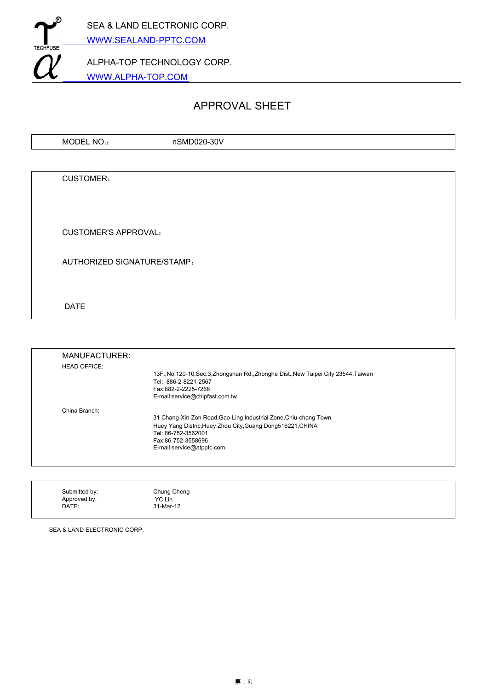

# APPROVAL SHEET

| MODEL NO.: | nSMD020-30V |  |
|------------|-------------|--|
|            |             |  |
|            |             |  |
| CUSTOMER:  |             |  |
|            |             |  |

CUSTOMER'S APPROVAL:

AUTHORIZED SIGNATURE/STAMP:

DATE

| MANUFACTURER:       |                                                                                     |
|---------------------|-------------------------------------------------------------------------------------|
| <b>HEAD OFFICE:</b> |                                                                                     |
|                     | 13F., No.120-10, Sec.3, Zhongshan Rd., Zhonghe Dist., New Taipei City 23544, Taiwan |
|                     | Tel: 886-2-8221-2567<br>Fax:882-2-2225-7268                                         |
|                     | E-mail:service@chipfast.com.tw                                                      |
| China Branch:       |                                                                                     |
|                     | 31 Chang-Xin-Zon Road, Gao-Ling Industrial Zone, Chiu-chang Town.                   |
|                     | Huey Yang Distric, Huey Zhou City, Guang Dong516221, CHINA                          |
|                     | Tel: 86-752-3562001                                                                 |
|                     | Fax:86-752-3558696                                                                  |
|                     | E-mail:service@atpptc.com                                                           |
|                     |                                                                                     |
|                     |                                                                                     |

| Submitted by: | Chung Cheng |
|---------------|-------------|
| Approved by:  | YC Lin      |
| DATE:         | 31-Mar-12   |

SEA & LAND ELECTRONIC CORP.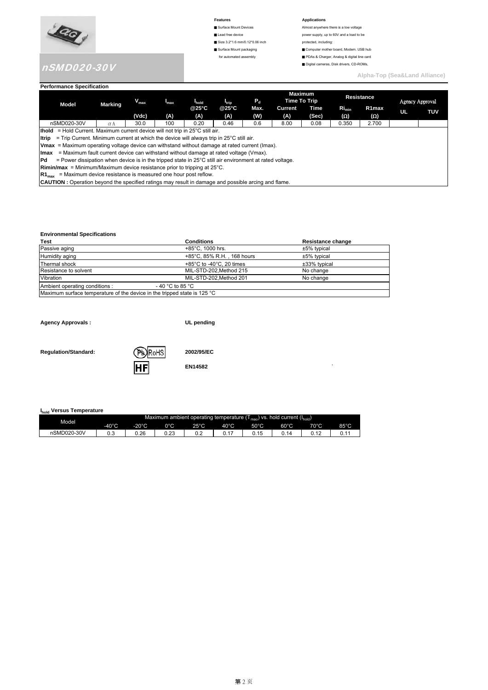

# nSMD020-30V

- 
- Size 3.2\*1.6 mm/0.12\*0.06 inch protected, including:
- 
- 

#### **Features Applications**

■ Surface Mount Devices **Almost anywhere there is a low voltage** ■ Lead free device **power supply**, up to 60V and a load to be ■ Surface Mount packaging ■ Computer mother board, Modem. USB hub for automated assembly ■ PDAs & Charger, Analog & digital line card

■ Digital cameras, Disk drivers, CD-ROMs,

**Alpha-Top (Sea&Land Alliance)** 

#### **Performance Specification**

|             |                                                                                                                   |            | $\bm{{\mathsf{V}}}_{\textsf{max}}$ | $I_{\text{max}}$ | hold  |       | $P_{d}$<br>$I_{\text{trip}}$ |         | <b>Maximum</b><br>Time To Trip | Resistance |       | Agency Approval |            |
|-------------|-------------------------------------------------------------------------------------------------------------------|------------|------------------------------------|------------------|-------|-------|------------------------------|---------|--------------------------------|------------|-------|-----------------|------------|
|             | <b>Model</b>                                                                                                      | Marking    |                                    |                  | @25°C | @25°C | Max.                         | Current | Time                           | $Ri_{min}$ | R1max | UL              | <b>TUV</b> |
|             |                                                                                                                   |            | (Vdc)                              | (A)              | (A)   | (A)   | (W)                          | (A)     | (Sec)                          | (Ω)        | (Ω)   |                 |            |
|             | nSMD020-30V                                                                                                       | $\alpha$ A | 30.0                               | 100              | 0.20  | 0.46  | 0.6                          | 8.00    | 0.08                           | 0.350      | 2.700 |                 |            |
|             | <b>Ihold</b> = Hold Current. Maximum current device will not trip in 25°C still air.                              |            |                                    |                  |       |       |                              |         |                                |            |       |                 |            |
| ltrip       | $=$ Trip Current. Minimum current at which the device will always trip in 25 $\degree$ C still air.               |            |                                    |                  |       |       |                              |         |                                |            |       |                 |            |
|             | <b>Vmax</b> = Maximum operating voltage device can withstand without damage at rated current (Imax).              |            |                                    |                  |       |       |                              |         |                                |            |       |                 |            |
| <b>Imax</b> | = Maximum fault current device can withstand without damage at rated voltage (Vmax).                              |            |                                    |                  |       |       |                              |         |                                |            |       |                 |            |
| Pd          | = Power dissipation when device is in the tripped state in $25^{\circ}$ C still air environment at rated voltage. |            |                                    |                  |       |       |                              |         |                                |            |       |                 |            |
|             | <b>Rimin/max</b> = Minimum/Maximum device resistance prior to tripping at $25^{\circ}$ C.                         |            |                                    |                  |       |       |                              |         |                                |            |       |                 |            |
|             | = Maximum device resistance is measured one hour post reflow.<br>$R1_{\text{max}}$                                |            |                                    |                  |       |       |                              |         |                                |            |       |                 |            |
|             | <b>CAUTION</b> : Operation beyond the specified ratings may result in damage and possible arcing and flame.       |            |                                    |                  |       |       |                              |         |                                |            |       |                 |            |

**EN14582** `

#### **Environmental Specifications**

| Test                                                                     | <b>Conditions</b>                            | Resistance change |
|--------------------------------------------------------------------------|----------------------------------------------|-------------------|
| Passive aging                                                            | $+85^{\circ}$ C. 1000 hrs.                   | $±5\%$ typical    |
| Humidity aging                                                           | +85°C, 85% R.H., 168 hours                   | ±5% typical       |
| Thermal shock                                                            | +85 $\degree$ C to -40 $\degree$ C, 20 times | ±33% typical      |
| Resistance to solvent                                                    | MIL-STD-202.Method 215                       | No change         |
| Vibration                                                                | MIL-STD-202.Method 201                       | No change         |
| Ambient operating conditions :                                           | - 40 °C to 85 °C                             |                   |
| Maximum surface temperature of the device in the tripped state is 125 °C |                                              |                   |

**Agency Approvals : UL pending**

**Regulation/Standard: 2002/95/EC**



### **Ihold Versus Temperature**

| Model       | Maximum ambient operating temperature $(T_{\text{mao}})$ vs. hold current $(I_{\text{hold}})$ |                 |      |      |      |                |                |      |      |  |
|-------------|-----------------------------------------------------------------------------------------------|-----------------|------|------|------|----------------|----------------|------|------|--|
|             | 40°C                                                                                          | $-20^{\circ}$ C | 0°C  | 25°C | 40°C | $50^{\circ}$ C | $60^{\circ}$ C | 70°C | 85°C |  |
| nSMD020-30V | U.J                                                                                           | ა.26            | 0.23 |      |      |                |                |      |      |  |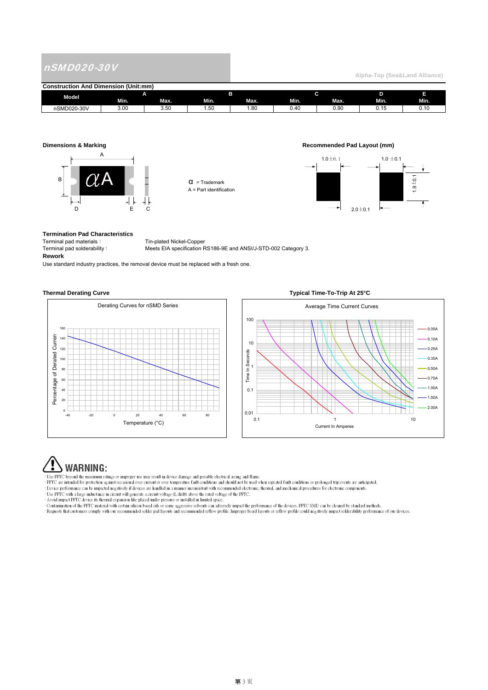## nSMD020-30V

**Alpha-Top (Sea&Land Alliance)** 

| (Unit:mm)<br><b>Construction And Dimension</b> |      |      |            |       |                   |             |        |        |
|------------------------------------------------|------|------|------------|-------|-------------------|-------------|--------|--------|
| Model                                          |      |      |            |       |                   |             |        |        |
|                                                | Min. | Max. | Min.       | Max.  | Min.              | Max.        | Min.   | Min.   |
| nSMD020-30V                                    | 3.00 | 3.50 | -<br>. .50 | . .80 | $\Lambda$<br>∪.π∪ | .00<br>ง.งบ | ∪. ı J | v. 1 v |



 $\alpha$  = Trademark A = Part identification

### **Dimensions & Marking Recommended Pad Layout (mm)**



**Termination Pad Characteristics** Terminal pad materials: Tin-plated Nickel-Copper<br>
Terminal pad solderability: Meets EIA specification F **Rework**

Meets EIA specification RS186-9E and ANSI/J-STD-002 Category 3.

Use standard industry practices, the removal device must be replaced with a fresh one.

#### **Thermal Derating Curve Typical Time-To-Trip At 25°C**





# WARNING:

· Use PPTC beyond the maximum ratings or improper use may result in device damage and possible electrical arcing and flame.

- PPTC are intended for protection against occasional over current or over temperature fault conditions and should not be used when repeated fault conditions or prolonged trip events are anticipated. Device performance can

Avoid impact PPTC device its thermal expansion like placed under pressure or installed in limited space.<br>• Contamination of the PPTC material with certain silicon based oils or some aggressive solvents can adversely impact

· Requests that customers comply with our recommended solder pad layouts and recommended reflow profile. Improper board layouts or reflow profile could negatively impact solderability performance of our devices.